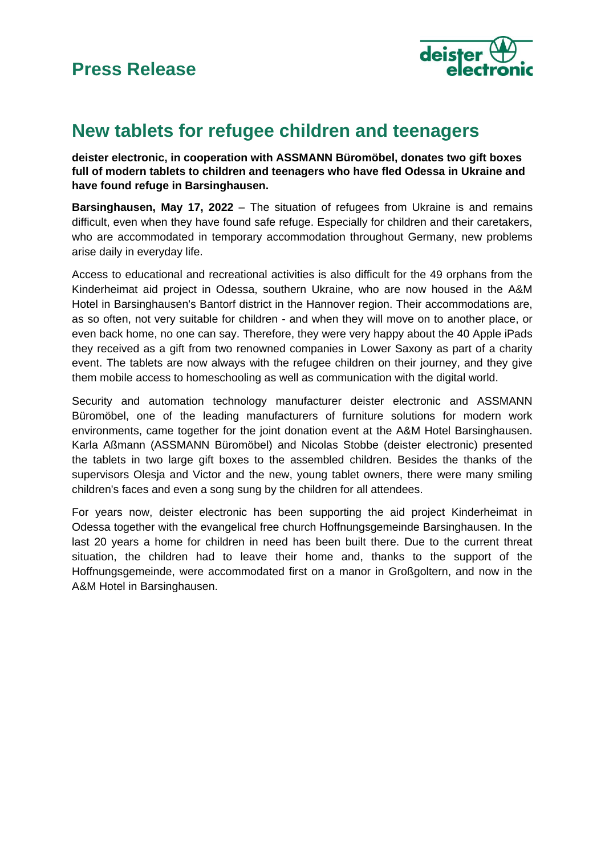

## **New tablets for refugee children and teenagers**

**deister electronic, in cooperation with ASSMANN Büromöbel, donates two gift boxes full of modern tablets to children and teenagers who have fled Odessa in Ukraine and have found refuge in Barsinghausen.**

**Barsinghausen, May 17, 2022** – The situation of refugees from Ukraine is and remains difficult, even when they have found safe refuge. Especially for children and their caretakers, who are accommodated in temporary accommodation throughout Germany, new problems arise daily in everyday life.

Access to educational and recreational activities is also difficult for the 49 orphans from the Kinderheimat aid project in Odessa, southern Ukraine, who are now housed in the A&M Hotel in Barsinghausen's Bantorf district in the Hannover region. Their accommodations are, as so often, not very suitable for children - and when they will move on to another place, or even back home, no one can say. Therefore, they were very happy about the 40 Apple iPads they received as a gift from two renowned companies in Lower Saxony as part of a charity event. The tablets are now always with the refugee children on their journey, and they give them mobile access to homeschooling as well as communication with the digital world.

Security and automation technology manufacturer deister electronic and ASSMANN Büromöbel, one of the leading manufacturers of furniture solutions for modern work environments, came together for the joint donation event at the A&M Hotel Barsinghausen. Karla Aßmann (ASSMANN Büromöbel) and Nicolas Stobbe (deister electronic) presented the tablets in two large gift boxes to the assembled children. Besides the thanks of the supervisors Olesja and Victor and the new, young tablet owners, there were many smiling children's faces and even a song sung by the children for all attendees.

For years now, deister electronic has been supporting the aid project Kinderheimat in Odessa together with the evangelical free church Hoffnungsgemeinde Barsinghausen. In the last 20 years a home for children in need has been built there. Due to the current threat situation, the children had to leave their home and, thanks to the support of the Hoffnungsgemeinde, were accommodated first on a manor in Großgoltern, and now in the A&M Hotel in Barsinghausen.